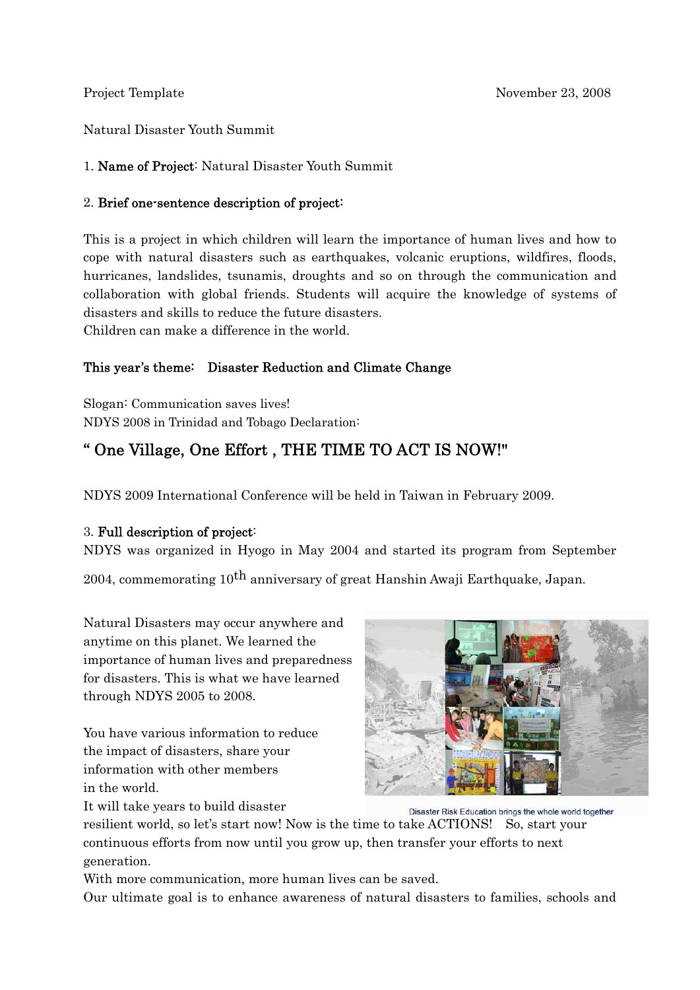Natural Disaster Youth Summit

### 1. Name of Project: Natural Disaster Youth Summit

### 2. Brief one-sentence description of project:

This is a project in which children will learn the importance of human lives and how to cope with natural disasters such as earthquakes, volcanic eruptions, wildfires, floods, hurricanes, landslides, tsunamis, droughts and so on through the communication and collaboration with global friends. Students will acquire the knowledge of systems of disasters and skills to reduce the future disasters. Children can make a difference in the world.

### This year's theme: Disaster Reduction and Climate Change

Slogan: Communication saves lives! NDYS 2008 in Trinidad and Tobago Declaration:

# " One Village, One Effort , THE TIME TO ACT IS NOW!"

NDYS 2009 International Conference will be held in Taiwan in February 2009.

### 3. Full description of project:

NDYS was organized in Hyogo in May 2004 and started its program from September

2004, commemorating 10<sup>th</sup> anniversary of great Hanshin Awaji Earthquake, Japan.

Natural Disasters may occur anywhere and anytime on this planet. We learned the importance of human lives and preparedness for disasters. This is what we have learned through NDYS 2005 to 2008.

You have various information to reduce the impact of disasters, share your information with other members in the world.



It will take years to build disaster

Disaster Risk Education brings the whole world together resilient world, so let's start now! Now is the time to take ACTIONS! So, start your continuous efforts from now until you grow up, then transfer your efforts to next generation.

With more communication, more human lives can be saved.

Our ultimate goal is to enhance awareness of natural disasters to families, schools and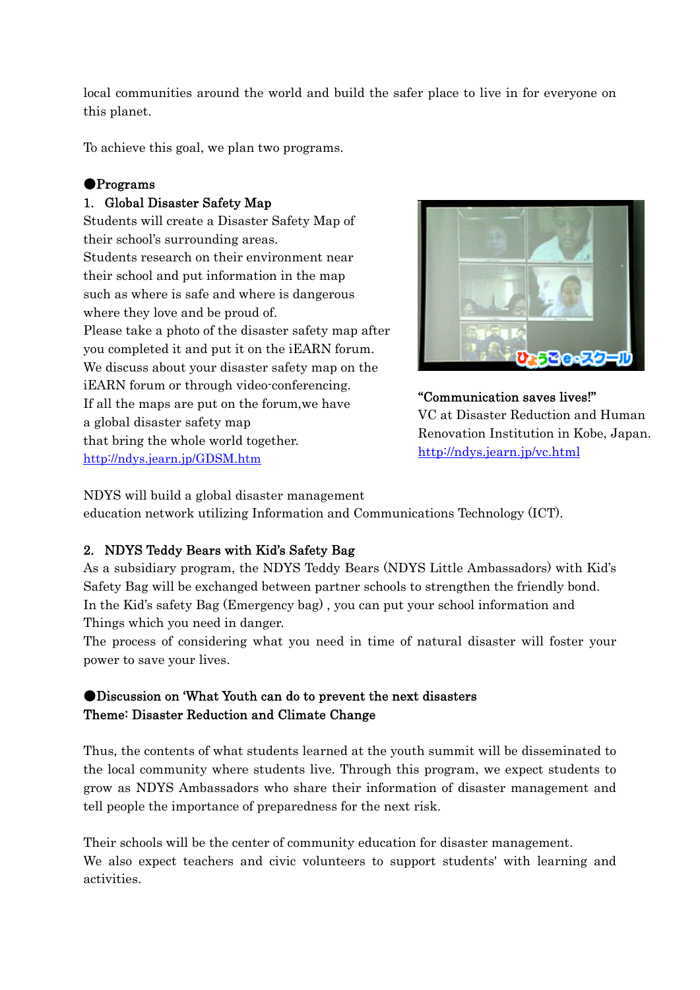local communities around the world and build the safer place to live in for everyone on this planet.

To achieve this goal, we plan two programs.

### ●Programs

### 1. Global Disaster Safety Map

Students will create a Disaster Safety Map of their school's surrounding areas. Students research on their environment near their school and put information in the map such as where is safe and where is dangerous where they love and be proud of. Please take a photo of the disaster safety map after you completed it and put it on the iEARN forum. We discuss about your disaster safety map on the iEARN forum or through video-conferencing. If all the maps are put on the forum,we have a global disaster safety map that bring the whole world together. http://ndys.jearn.jp/GDSM.htm



"Communication saves lives!" VC at Disaster Reduction and Human Renovation Institution in Kobe, Japan. http://ndys.jearn.jp/vc.html

NDYS will build a global disaster management

education network utilizing Information and Communications Technology (ICT).

### 2. NDYS Teddy Bears with Kid's Safety Bag

As a subsidiary program, the NDYS Teddy Bears (NDYS Little Ambassadors) with Kid's Safety Bag will be exchanged between partner schools to strengthen the friendly bond. In the Kid's safety Bag (Emergency bag) , you can put your school information and Things which you need in danger.

The process of considering what you need in time of natural disaster will foster your power to save your lives.

### ●Discussion on 'What Youth can do to prevent the next disasters Theme: Disaster Reduction and Climate Change

Thus, the contents of what students learned at the youth summit will be disseminated to the local community where students live. Through this program, we expect students to grow as NDYS Ambassadors who share their information of disaster management and tell people the importance of preparedness for the next risk.

Their schools will be the center of community education for disaster management. We also expect teachers and civic volunteers to support students' with learning and activities.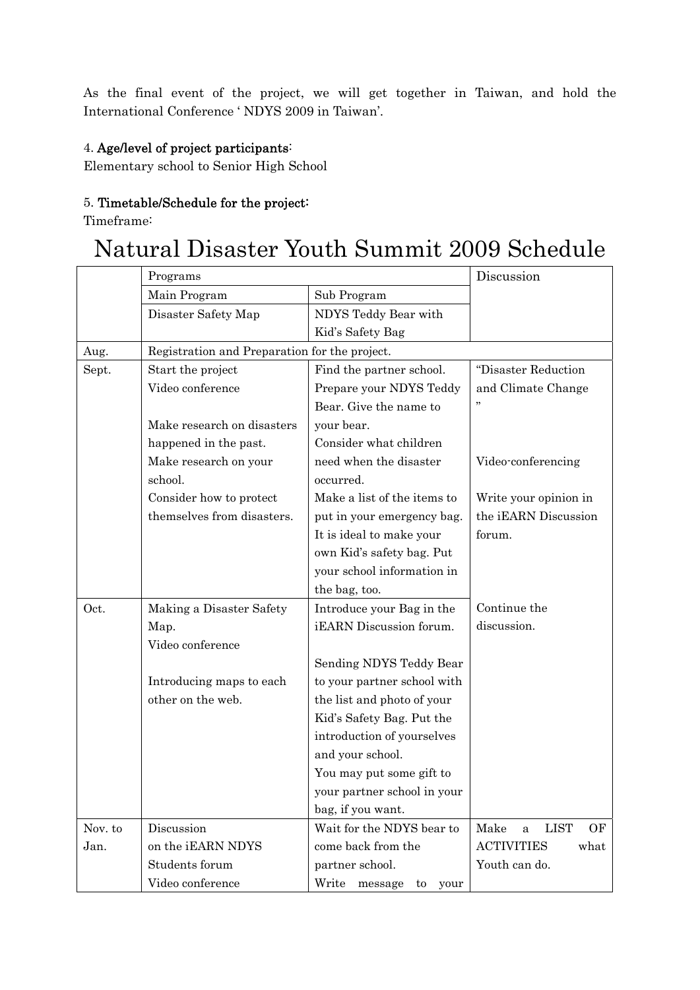As the final event of the project, we will get together in Taiwan, and hold the International Conference ' NDYS 2009 in Taiwan'.

### 4. Age/level of project participants:

Elementary school to Senior High School

## 5. Timetable/Schedule for the project:

Timeframe:

# Natural Disaster Youth Summit 2009 Schedule

|         | Programs                                      |                                | Discussion                     |  |
|---------|-----------------------------------------------|--------------------------------|--------------------------------|--|
|         | Main Program                                  | Sub Program                    |                                |  |
|         | Disaster Safety Map                           | NDYS Teddy Bear with           |                                |  |
|         |                                               | Kid's Safety Bag               |                                |  |
| Aug.    | Registration and Preparation for the project. |                                |                                |  |
| Sept.   | Start the project                             | Find the partner school.       | "Disaster Reduction            |  |
|         | Video conference                              | Prepare your NDYS Teddy        | and Climate Change             |  |
|         |                                               | Bear. Give the name to         |                                |  |
|         | Make research on disasters                    | your bear.                     |                                |  |
|         | happened in the past.                         | Consider what children         |                                |  |
|         | Make research on your                         | need when the disaster         | Video-conferencing             |  |
|         | school.                                       | occurred.                      |                                |  |
|         | Consider how to protect                       | Make a list of the items to    | Write your opinion in          |  |
|         | themselves from disasters.                    | put in your emergency bag.     | the iEARN Discussion           |  |
|         |                                               | It is ideal to make your       | forum.                         |  |
|         |                                               | own Kid's safety bag. Put      |                                |  |
|         |                                               | your school information in     |                                |  |
|         |                                               | the bag, too.                  |                                |  |
| Oct.    | Making a Disaster Safety                      | Introduce your Bag in the      | Continue the                   |  |
|         | Map.                                          | iEARN Discussion forum.        | discussion.                    |  |
|         | Video conference                              |                                |                                |  |
|         |                                               | Sending NDYS Teddy Bear        |                                |  |
|         | Introducing maps to each                      | to your partner school with    |                                |  |
|         | other on the web.                             | the list and photo of your     |                                |  |
|         |                                               | Kid's Safety Bag. Put the      |                                |  |
|         |                                               | introduction of yourselves     |                                |  |
|         |                                               | and your school.               |                                |  |
|         |                                               | You may put some gift to       |                                |  |
|         |                                               | your partner school in your    |                                |  |
|         |                                               | bag, if you want.              |                                |  |
| Nov. to | Discussion                                    | Wait for the NDYS bear to      | Make<br><b>LIST</b><br>OF<br>a |  |
| Jan.    | on the iEARN NDYS                             | come back from the             | <b>ACTIVITIES</b><br>what      |  |
|         | Students forum                                | partner school.                | Youth can do.                  |  |
|         | Video conference                              | Write<br>message<br>to<br>your |                                |  |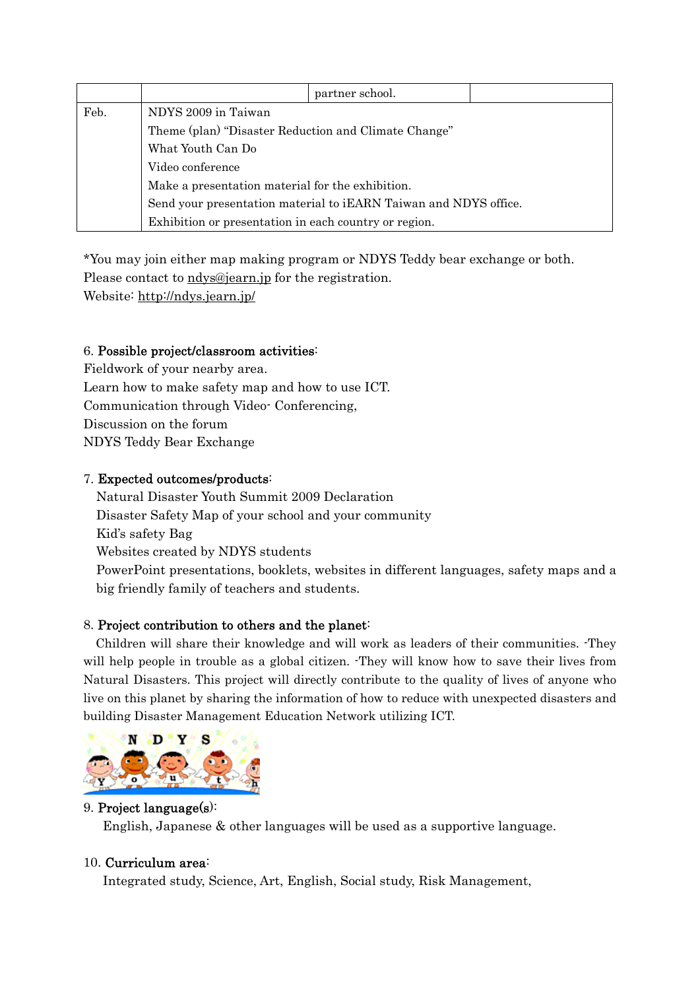|      |                                                                                                                      | partner school. |  |  |  |
|------|----------------------------------------------------------------------------------------------------------------------|-----------------|--|--|--|
| Feb. | NDYS 2009 in Taiwan                                                                                                  |                 |  |  |  |
|      | Theme (plan) "Disaster Reduction and Climate Change"<br>What Youth Can Do<br>Video conference                        |                 |  |  |  |
|      |                                                                                                                      |                 |  |  |  |
|      |                                                                                                                      |                 |  |  |  |
|      | Make a presentation material for the exhibition.<br>Send your presentation material to iEARN Taiwan and NDYS office. |                 |  |  |  |
|      |                                                                                                                      |                 |  |  |  |
|      | Exhibition or presentation in each country or region.                                                                |                 |  |  |  |

\*You may join either map making program or NDYS Teddy bear exchange or both.

Please contact to ndys@jearn.jp for the registration.

Website: http://ndys.jearn.jp/

### 6. Possible project/classroom activities:

Fieldwork of your nearby area. Learn how to make safety map and how to use ICT. Communication through Video- Conferencing, Discussion on the forum NDYS Teddy Bear Exchange

### 7. Expected outcomes/products:

Natural Disaster Youth Summit 2009 Declaration Disaster Safety Map of your school and your community Kid's safety Bag Websites created by NDYS students PowerPoint presentations, booklets, websites in different languages, safety maps and a big friendly family of teachers and students.

### 8. Project contribution to others and the planet:

 Children will share their knowledge and will work as leaders of their communities. -They will help people in trouble as a global citizen. They will know how to save their lives from Natural Disasters. This project will directly contribute to the quality of lives of anyone who live on this planet by sharing the information of how to reduce with unexpected disasters and building Disaster Management Education Network utilizing ICT.



### 9. Project language(s):

English, Japanese & other languages will be used as a supportive language.

### 10. Curriculum area:

Integrated study, Science, Art, English, Social study, Risk Management,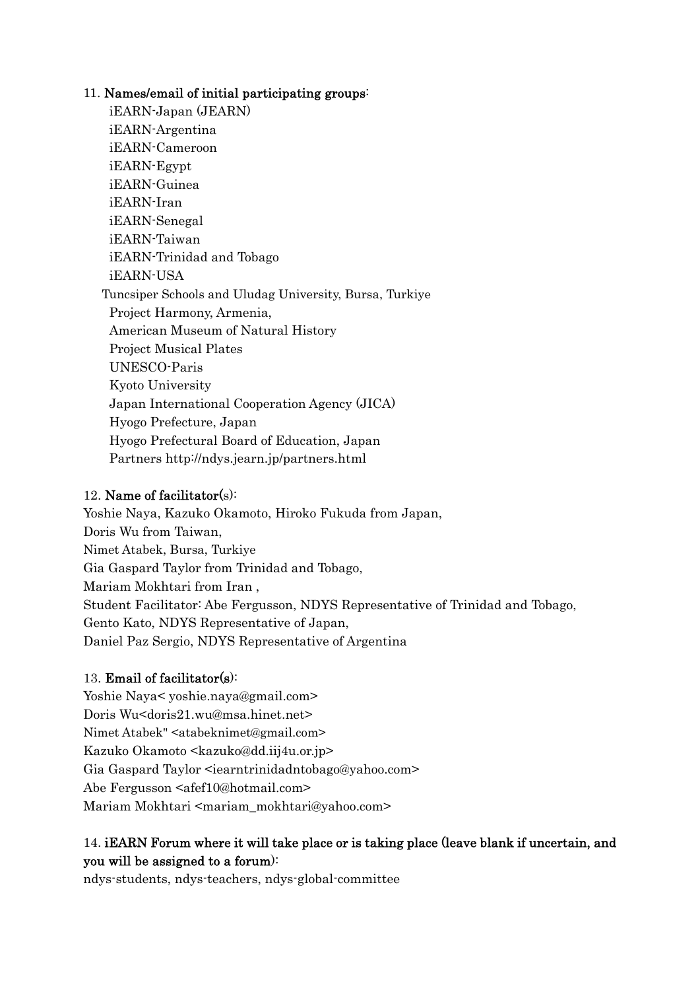### 11. Names/email of initial participating groups:

 iEARN-Japan (JEARN) iEARN-Argentina iEARN-Cameroon iEARN-Egypt iEARN-Guinea iEARN-Iran iEARN-Senegal iEARN-Taiwan iEARN-Trinidad and Tobago iEARN-USA Tuncsiper Schools and Uludag University, Bursa, Turkiye Project Harmony, Armenia, American Museum of Natural History Project Musical Plates UNESCO-Paris Kyoto University Japan International Cooperation Agency (JICA) Hyogo Prefecture, Japan Hyogo Prefectural Board of Education, Japan Partners http://ndys.jearn.jp/partners.html

### 12. Name of facilitator(s):

Yoshie Naya, Kazuko Okamoto, Hiroko Fukuda from Japan, Doris Wu from Taiwan, Nimet Atabek, Bursa, Turkiye Gia Gaspard Taylor from Trinidad and Tobago, Mariam Mokhtari from Iran , Student Facilitator: Abe Fergusson, NDYS Representative of Trinidad and Tobago, Gento Kato, NDYS Representative of Japan, Daniel Paz Sergio, NDYS Representative of Argentina

### 13. Email of facilitator(s):

Yoshie Naya< yoshie.naya@gmail.com> Doris Wu<doris21.wu@msa.hinet.net> Nimet Atabek" <atabeknimet@gmail.com> Kazuko Okamoto <kazuko@dd.iij4u.or.jp> Gia Gaspard Taylor <iearntrinidadntobago@yahoo.com> Abe Fergusson <alignation >  $\alpha$ Mariam Mokhtari <mariam\_mokhtari@yahoo.com>

### 14. iEARN Forum where it will take place or is taking place (leave blank if uncertain, and you will be assigned to a forum):

ndys-students, ndys-teachers, ndys-global-committee